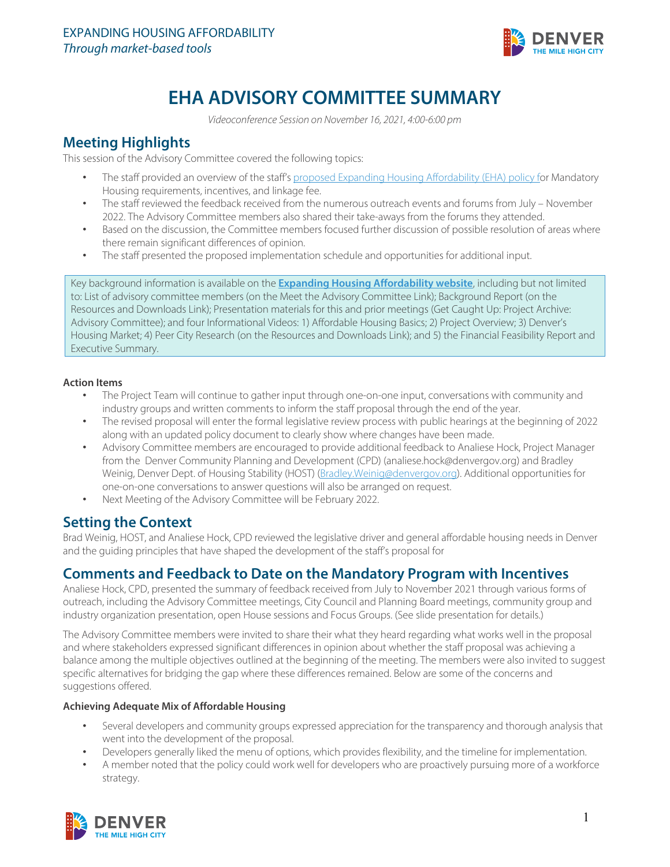

# **EHA ADVISORY COMMITTEE SUMMARY**

*Videoconference Session on November 16, 2021, 4:00-6:00 pm* 

## **Meeting Highlights**

This session of the Advisory Committee covered the following topics:

- The staff provided an overview of the staff'[s proposed Expanding Housing Affordability \(EHA\) policy](https://www.denvergov.org/files/assets/public/community-planning-and-development/documents/zoning/text-amendments/housing-affordability/eha_proposed_policy_approach.pdf) for Mandatory Housing requirements, incentives, and linkage fee.
- The staff reviewed the feedback received from the numerous outreach events and forums from July November 2022. The Advisory Committee members also shared their take-aways from the forums they attended.
- Based on the discussion, the Committee members focused further discussion of possible resolution of areas where there remain significant differences of opinion.
- The staff presented the proposed implementation schedule and opportunities for additional input.

Key background information is available on the **[Expanding Housing Affordability website](https://www.denvergov.org/Government/Departments/Community-Planning-and-Development/Denver-Zoning-Code/Text-Amendments/Affordable-Housing-Project#:%7E:text=Between%202021%20and%202019%2C%20median,person%20household%20increased%2032%20percent.)**, including but not limited to: List of advisory committee members (on the Meet the Advisory Committee Link); Background Report (on the Resources and Downloads Link); Presentation materials for this and prior meetings (Get Caught Up: Project Archive: Advisory Committee); and four Informational Videos: 1) Affordable Housing Basics; 2) Project Overview; 3) Denver's Housing Market; 4) Peer City Research (on the Resources and Downloads Link); and 5) the Financial Feasibility Report and Executive Summary.

### **Action Items**

- The Project Team will continue to gather input through one-on-one input, conversations with community and industry groups and written comments to inform the staff proposal through the end of the year.
- The revised proposal will enter the formal legislative review process with public hearings at the beginning of 2022 along with an updated policy document to clearly show where changes have been made.
- Advisory Committee members are encouraged to provide additional feedback to Analiese Hock, Project Manager from the Denver Community Planning and Development (CPD) [\(analiese.hock@denvergov.org\)](mailto:analiese.hock@denvergov.org) and Bradley Weinig, Denver Dept. of Housing Stability (HOST) [\(Bradley.Weinig@denvergov.org\)](mailto:Bradley.Weinig@denvergov.org). Additional opportunities for one-on-one conversations to answer questions will also be arranged on request.
- Next Meeting of the Advisory Committee will be February 2022.

# **Setting the Context**

Brad Weinig, HOST, and Analiese Hock, CPD reviewed the legislative driver and general affordable housing needs in Denver and the guiding principles that have shaped the development of the staff's proposal for

# **Comments and Feedback to Date on the Mandatory Program with Incentives**

Analiese Hock, CPD, presented the summary of feedback received from July to November 2021 through various forms of outreach, including the Advisory Committee meetings, City Council and Planning Board meetings, community group and industry organization presentation, open House sessions and Focus Groups. (See slide presentation for details.)

The Advisory Committee members were invited to share their what they heard regarding what works well in the proposal and where stakeholders expressed significant differences in opinion about whether the staff proposal was achieving a balance among the multiple objectives outlined at the beginning of the meeting. The members were also invited to suggest specific alternatives for bridging the gap where these differences remained. Below are some of the concerns and suggestions offered.

### **Achieving Adequate Mix of Affordable Housing**

- Several developers and community groups expressed appreciation for the transparency and thorough analysis that went into the development of the proposal.
- Developers generally liked the menu of options, which provides flexibility, and the timeline for implementation.
- A member noted that the policy could work well for developers who are proactively pursuing more of a workforce strategy.

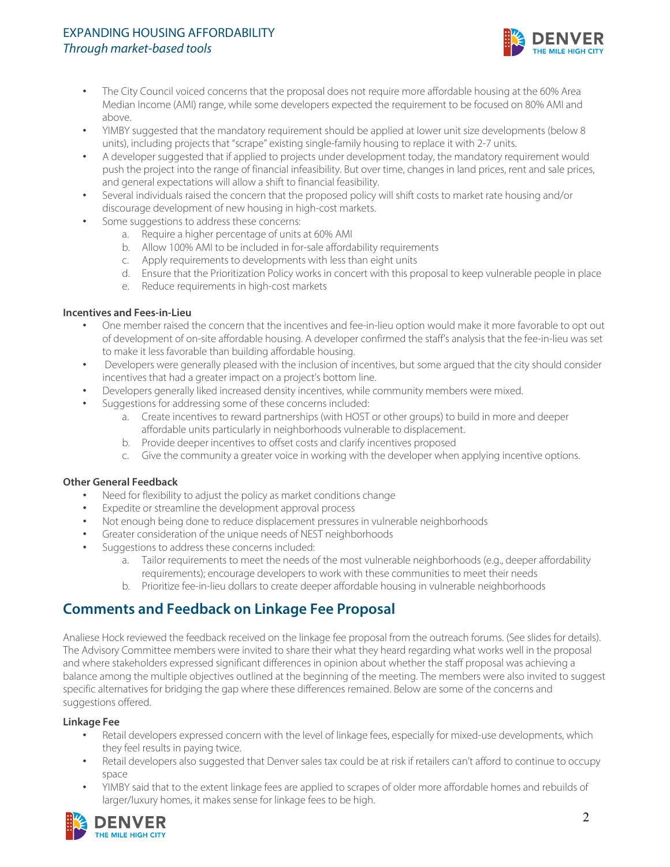### EXPANDING HOUSING AFFORDABILITY *Through market-based tools*



- The City Council voiced concerns that the proposal does not require more affordable housing at the 60% Area Median Income (AMI) range, while some developers expected the requirement to be focused on 80% AMI and above.
- YIMBY suggested that the mandatory requirement should be applied at lower unit size developments (below 8 units), including projects that "scrape" existing single-family housing to replace it with 2-7 units.
- A developer suggested that if applied to projects under development today, the mandatory requirement would push the project into the range of financial infeasibility. But over time, changes in land prices, rent and sale prices, and general expectations will allow a shift to financial feasibility.
- Several individuals raised the concern that the proposed policy will shift costs to market rate housing and/or discourage development of new housing in high-cost markets.
- Some suggestions to address these concerns:
	- a. Require a higher percentage of units at 60% AMI
	- b. Allow 100% AMI to be included in for-sale affordability requirements
	- c. Apply requirements to developments with less than eight units
	- d. Ensure that the Prioritization Policy works in concert with this proposal to keep vulnerable people in place
	- e. Reduce requirements in high-cost markets

### **Incentives and Fees-in-Lieu**

- One member raised the concern that the incentives and fee-in-lieu option would make it more favorable to opt out of development of on-site affordable housing. A developer confirmed the staff's analysis that the fee-in-lieu was set to make it less favorable than building affordable housing.
- Developers were generally pleased with the inclusion of incentives, but some argued that the city should consider incentives that had a greater impact on a project's bottom line.
- Developers generally liked increased density incentives, while community members were mixed.
- Suggestions for addressing some of these concerns included:
	- a. Create incentives to reward partnerships (with HOST or other groups) to build in more and deeper affordable units particularly in neighborhoods vulnerable to displacement.
	- b. Provide deeper incentives to offset costs and clarify incentives proposed
	- c. Give the community a greater voice in working with the developer when applying incentive options.

### **Other General Feedback**

- Need for flexibility to adjust the policy as market conditions change
- Expedite or streamline the development approval process
- Not enough being done to reduce displacement pressures in vulnerable neighborhoods
- Greater consideration of the unique needs of NEST neighborhoods
- Suggestions to address these concerns included:
	- a. Tailor requirements to meet the needs of the most vulnerable neighborhoods (e.g., deeper affordability requirements); encourage developers to work with these communities to meet their needs
	- b. Prioritize fee-in-lieu dollars to create deeper affordable housing in vulnerable neighborhoods

# **Comments and Feedback on Linkage Fee Proposal**

Analiese Hock reviewed the feedback received on the linkage fee proposal from the outreach forums. (See slides for details). The Advisory Committee members were invited to share their what they heard regarding what works well in the proposal and where stakeholders expressed significant differences in opinion about whether the staff proposal was achieving a balance among the multiple objectives outlined at the beginning of the meeting. The members were also invited to suggest specific alternatives for bridging the gap where these differences remained. Below are some of the concerns and suggestions offered.

### **Linkage Fee**

- Retail developers expressed concern with the level of linkage fees, especially for mixed-use developments, which they feel results in paying twice.
- Retail developers also suggested that Denver sales tax could be at risk if retailers can't afford to continue to occupy space
- YIMBY said that to the extent linkage fees are applied to scrapes of older more affordable homes and rebuilds of larger/luxury homes, it makes sense for linkage fees to be high.